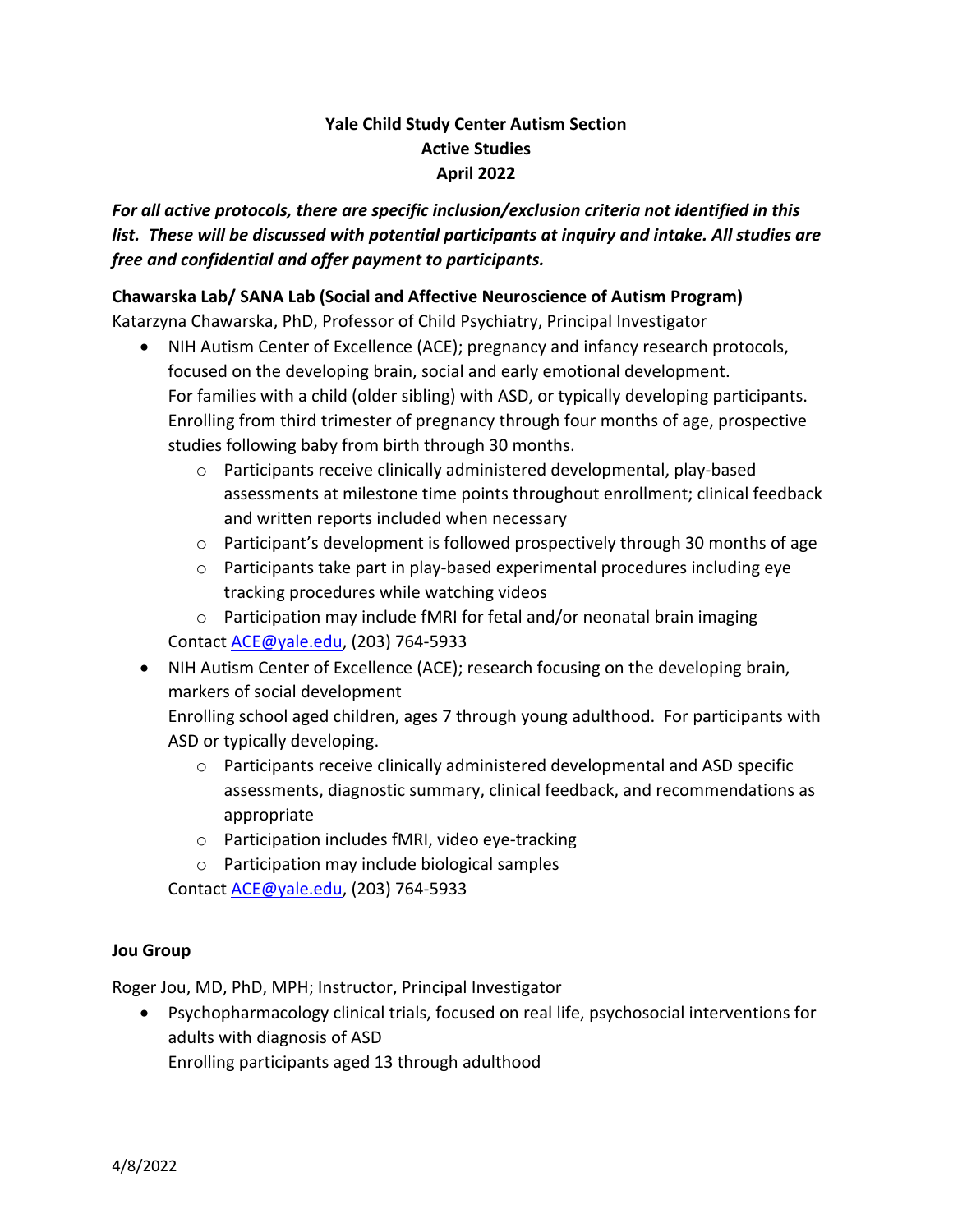# **Yale Child Study Center Autism Section Active Studies April 2022**

*For all active protocols, there are specific inclusion/exclusion criteria not identified in this list. These will be discussed with potential participants at inquiry and intake. All studies are free and confidential and offer payment to participants.*

#### **Chawarska Lab/ SANA Lab (Social and Affective Neuroscience of Autism Program)**

Katarzyna Chawarska, PhD, Professor of Child Psychiatry, Principal Investigator

- NIH Autism Center of Excellence (ACE); pregnancy and infancy research protocols, focused on the developing brain, social and early emotional development. For families with a child (older sibling) with ASD, or typically developing participants. Enrolling from third trimester of pregnancy through four months of age, prospective studies following baby from birth through 30 months.
	- o Participants receive clinically administered developmental, play-based assessments at milestone time points throughout enrollment; clinical feedback and written reports included when necessary
	- o Participant's development is followed prospectively through 30 months of age
	- $\circ$  Participants take part in play-based experimental procedures including eye tracking procedures while watching videos
	- o Participation may include fMRI for fetal and/or neonatal brain imaging Contact ACE@yale.edu, (203) 764-5933
- NIH Autism Center of Excellence (ACE); research focusing on the developing brain, markers of social development

Enrolling school aged children, ages 7 through young adulthood. For participants with ASD or typically developing.

- $\circ$  Participants receive clinically administered developmental and ASD specific assessments, diagnostic summary, clinical feedback, and recommendations as appropriate
- o Participation includes fMRI, video eye-tracking
- o Participation may include biological samples

Contact ACE@yale.edu, (203) 764-5933

#### **Jou Group**

Roger Jou, MD, PhD, MPH; Instructor, Principal Investigator

• Psychopharmacology clinical trials, focused on real life, psychosocial interventions for adults with diagnosis of ASD

Enrolling participants aged 13 through adulthood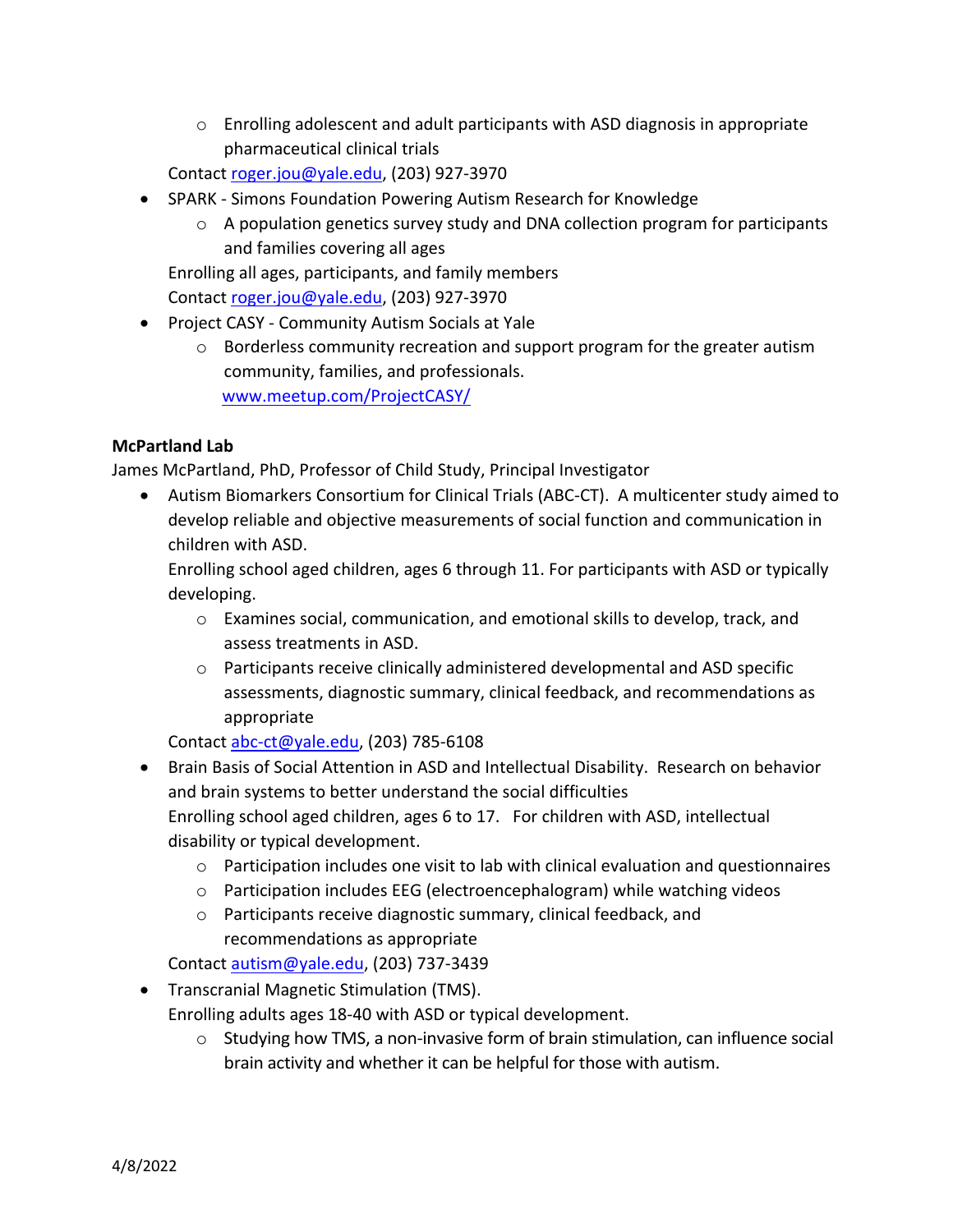$\circ$  Enrolling adolescent and adult participants with ASD diagnosis in appropriate pharmaceutical clinical trials

Contact roger.jou@yale.edu, (203) 927-3970

- SPARK Simons Foundation Powering Autism Research for Knowledge
	- o A population genetics survey study and DNA collection program for participants and families covering all ages

Enrolling all ages, participants, and family members Contact roger.jou@yale.edu, (203) 927-3970

- Project CASY Community Autism Socials at Yale
	- $\circ$  Borderless community recreation and support program for the greater autism community, families, and professionals. www.meetup.com/ProjectCASY/

### **McPartland Lab**

James McPartland, PhD, Professor of Child Study, Principal Investigator

• Autism Biomarkers Consortium for Clinical Trials (ABC-CT). A multicenter study aimed to develop reliable and objective measurements of social function and communication in children with ASD.

Enrolling school aged children, ages 6 through 11. For participants with ASD or typically developing.

- o Examines social, communication, and emotional skills to develop, track, and assess treatments in ASD.
- o Participants receive clinically administered developmental and ASD specific assessments, diagnostic summary, clinical feedback, and recommendations as appropriate

Contact abc-ct@yale.edu, (203) 785-6108

- Brain Basis of Social Attention in ASD and Intellectual Disability. Research on behavior and brain systems to better understand the social difficulties Enrolling school aged children, ages 6 to 17. For children with ASD, intellectual disability or typical development.
	- $\circ$  Participation includes one visit to lab with clinical evaluation and questionnaires
	- o Participation includes EEG (electroencephalogram) while watching videos
	- o Participants receive diagnostic summary, clinical feedback, and recommendations as appropriate

Contact autism@yale.edu, (203) 737-3439

• Transcranial Magnetic Stimulation (TMS).

Enrolling adults ages 18-40 with ASD or typical development.

 $\circ$  Studying how TMS, a non-invasive form of brain stimulation, can influence social brain activity and whether it can be helpful for those with autism.